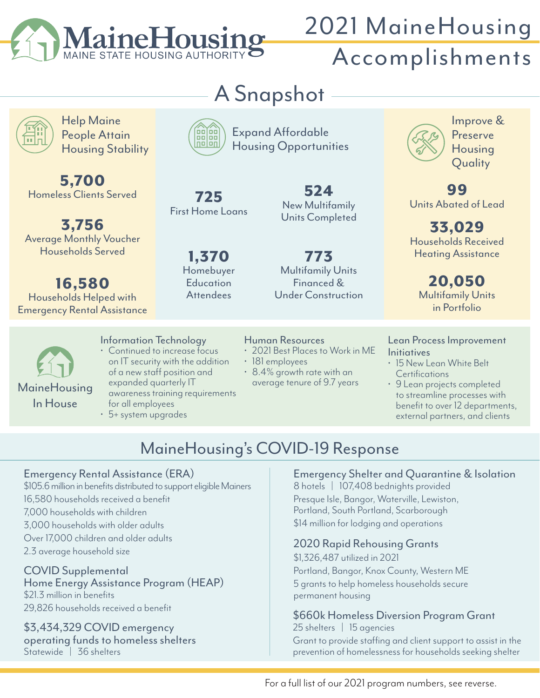

## 2021 MaineHousing Accomplishments

Help Maine People Attain Housing Stability

5,700 Homeless Clients Served

3,756 Average Monthly Voucher Households Served

16,580 Households Helped with Emergency Rental Assistance

MaineHousing In House



Expand Affordable Housing Opportunities

725 First Home Loans

> 1,370 Homebuyer **Education Attendees**

524 New Multifamily Units Completed

773 Multifamily Units Financed & Under Construction

#### Human Resources

- 2021 Best Places to Work in ME
- 181 employees
- 8.4% growth rate with an average tenure of 9.7 years



Improve & Preserve Housing Quality

99 Units Abated of Lead

33,029 Households Received Heating Assistance

20,050 Multifamily Units in Portfolio

Lean Process Improvement **Initiatives** 

- 15 New Lean White Belt **Certifications**
- 9 Lean projects completed to streamline processes with benefit to over 12 departments, external partners, and clients

### MaineHousing's COVID-19 Response

#### Emergency Rental Assistance (ERA)

\$105.6 million in benefits distributed to support eligible Mainers 16,580 households received a benefit 7,000 households with children 3,000 households with older adults Over 17,000 children and older adults 2.3 average household size

Information Technology • Continued to increase focus on IT security with the addition of a new staff position and expanded quarterly IT

for all employees • 5+ system upgrades

awareness training requirements

COVID Supplemental Home Energy Assistance Program (HEAP) \$21.3 million in benefits 29,826 households received a benefit

\$3,434,329 COVID emergency operating funds to homeless shelters Statewide | 36 shelters

### Emergency Shelter and Quarantine & Isolation

8 hotels | 107,408 bednights provided Presque Isle, Bangor, Waterville, Lewiston, Portland, South Portland, Scarborough \$14 million for lodging and operations

#### 2020 Rapid Rehousing Grants

\$1,326,487 utilized in 2021 Portland, Bangor, Knox County, Western ME 5 grants to help homeless households secure permanent housing

#### \$660k Homeless Diversion Program Grant 25 shelters | 15 agencies

Grant to provide staffing and client support to assist in the prevention of homelessness for households seeking shelter

For a full list of our 2021 program numbers, see reverse.

# A Snapshot